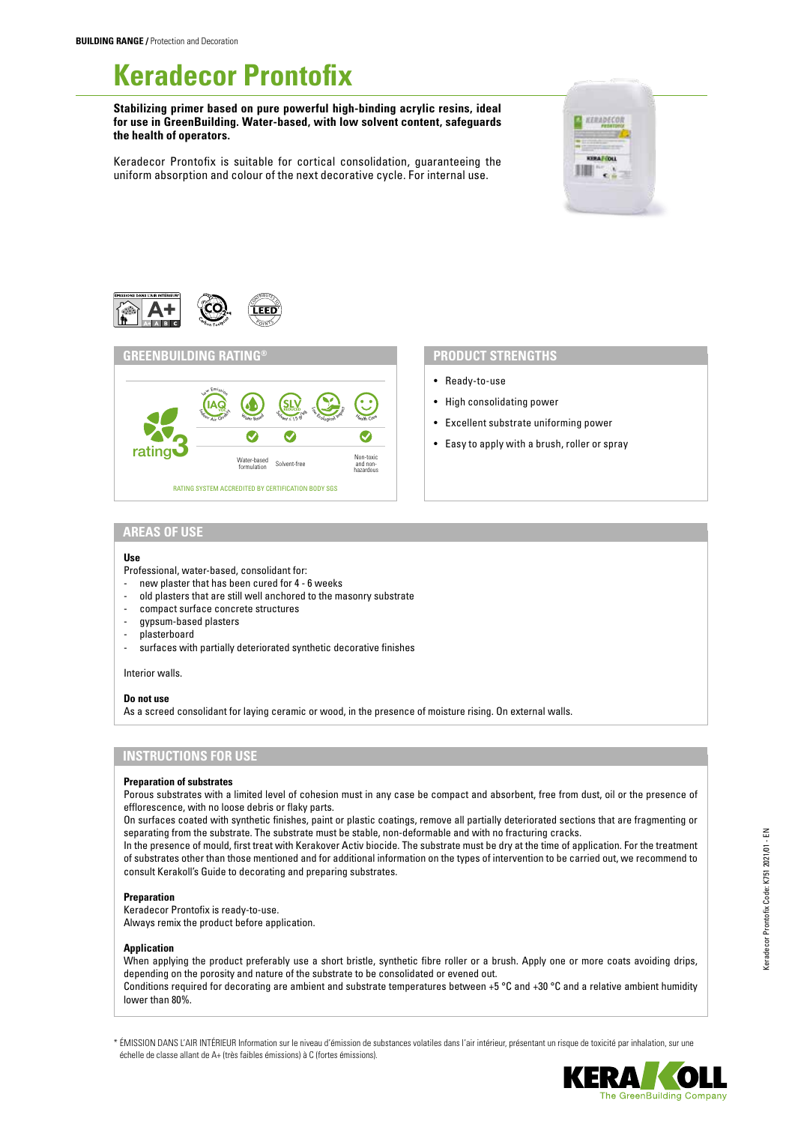# **Keradecor Prontofix**

**Stabilizing primer based on pure powerful high-binding acrylic resins, ideal for use in GreenBuilding. Water-based, with low solvent content, safeguards the health of operators.**

Keradecor Prontofix is suitable for cortical consolidation, guaranteeing the uniform absorption and colour of the next decorative cycle. For internal use.







- Ready-to-use
- High consolidating power
- Excellent substrate uniforming power
- Easy to apply with a brush, roller or spray

### **AREAS OF USE**

#### **Use**

Professional, water-based, consolidant for:

- new plaster that has been cured for 4 6 weeks
- old plasters that are still well anchored to the masonry substrate
- compact surface concrete structures
- gypsum-based plasters
- plasterboard
- surfaces with partially deteriorated synthetic decorative finishes

Interior walls.

#### **Do not use**

As a screed consolidant for laying ceramic or wood, in the presence of moisture rising. On external walls.

# **INSTRUCTIONS FOR USE**

#### **Preparation of substrates**

Porous substrates with a limited level of cohesion must in any case be compact and absorbent, free from dust, oil or the presence of efflorescence, with no loose debris or flaky parts.

On surfaces coated with synthetic finishes, paint or plastic coatings, remove all partially deteriorated sections that are fragmenting or separating from the substrate. The substrate must be stable, non-deformable and with no fracturing cracks.

In the presence of mould, first treat with Kerakover Activ biocide. The substrate must be dry at the time of application. For the treatment of substrates other than those mentioned and for additional information on the types of intervention to be carried out, we recommend to consult Kerakoll's Guide to decorating and preparing substrates.

#### **Preparation**

Keradecor Prontofix is ready-to-use. Always remix the product before application.

#### **Application**

When applying the product preferably use a short bristle, synthetic fibre roller or a brush. Apply one or more coats avoiding drips, depending on the porosity and nature of the substrate to be consolidated or evened out. Conditions required for decorating are ambient and substrate temperatures between +5 °C and +30 °C and a relative ambient humidity lower than 80%.

\* ÉMISSION DANS L'AIR INTÉRIEUR Information sur le niveau d'émission de substances volatiles dans l'air intérieur, présentant un risque de toxicité par inhalation, sur une échelle de classe allant de A+ (très faibles émissions) à C (fortes émissions).